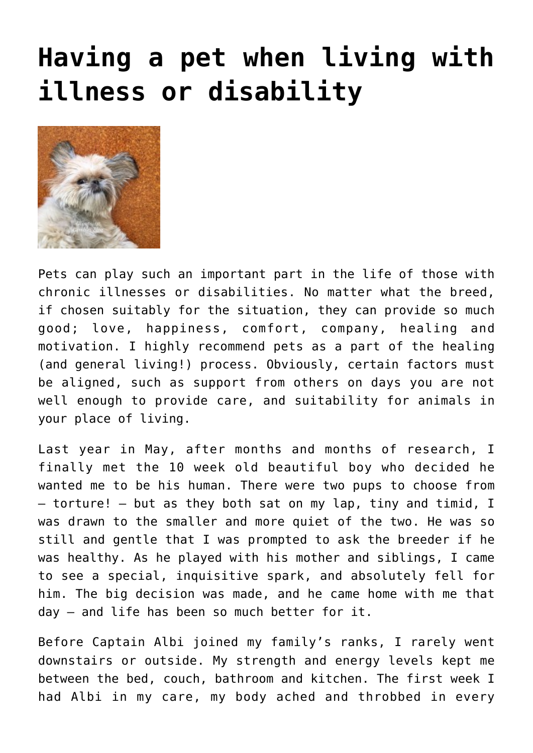## **[Having a pet when living with](https://www.glimpsinggembles.com/2015/08/03/having-a-pet-when-living-with-illness-or-disability/) [illness or disability](https://www.glimpsinggembles.com/2015/08/03/having-a-pet-when-living-with-illness-or-disability/)**



Pets can play such an important part in the life of those with chronic illnesses or disabilities. No matter what the breed, if chosen suitably for the situation, they can provide so much good; love, happiness, comfort, company, healing and motivation. I highly recommend pets as a part of the healing (and general living!) process. Obviously, certain factors must be aligned, such as support from others on days you are not well enough to provide care, and suitability for animals in your place of living.

Last year in May, after months and months of research, I finally met the 10 week old beautiful boy who decided he wanted me to be his human. There were two pups to choose from – torture! – but as they both sat on my lap, tiny and timid, I was drawn to the smaller and more quiet of the two. He was so still and gentle that I was prompted to ask the breeder if he was healthy. As he played with his mother and siblings, I came to see a special, inquisitive spark, and absolutely fell for him. The big decision was made, and he came home with me that day – and life has been so much better for it.

Before Captain Albi joined my family's ranks, I rarely went downstairs or outside. My strength and energy levels kept me between the bed, couch, bathroom and kitchen. The first week I had Albi in my care, my body ached and throbbed in every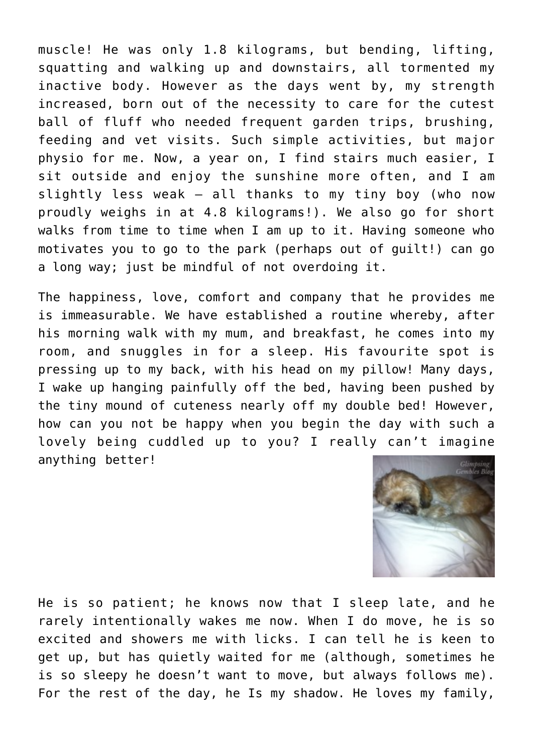muscle! He was only 1.8 kilograms, but bending, lifting, squatting and walking up and downstairs, all tormented my inactive body. However as the days went by, my strength increased, born out of the necessity to care for the cutest ball of fluff who needed frequent garden trips, brushing, feeding and vet visits. Such simple activities, but major physio for me. Now, a year on, I find stairs much easier, I sit outside and enjoy the sunshine more often, and I am slightly less weak – all thanks to my tiny boy (who now proudly weighs in at 4.8 kilograms!). We also go for short walks from time to time when I am up to it. Having someone who motivates you to go to the park (perhaps out of guilt!) can go a long way; just be mindful of not overdoing it.

The happiness, love, comfort and company that he provides me is immeasurable. We have established a routine whereby, after his morning walk with my mum, and breakfast, he comes into my room, and snuggles in for a sleep. His favourite spot is pressing up to my back, with his head on my pillow! Many days, I wake up hanging painfully off the bed, having been pushed by the tiny mound of cuteness nearly off my double bed! However, how can you not be happy when you begin the day with such a lovely being cuddled up to you? I really can't imagine anything better!



He is so patient; he knows now that I sleep late, and he rarely intentionally wakes me now. When I do move, he is so excited and showers me with licks. I can tell he is keen to get up, but has quietly waited for me (although, sometimes he is so sleepy he doesn't want to move, but always follows me). For the rest of the day, he Is my shadow. He loves my family,